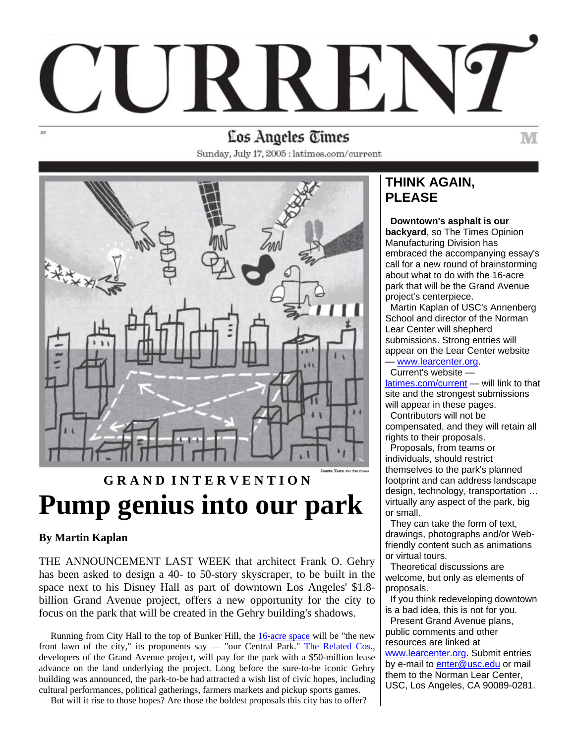### Los Angeles Times

Sunday, July 17, 2005 : latimes.com/current



## **G R A N D I N T E R V E N T I O N Pump genius into our park**

#### **By Martin Kaplan**

THE ANNOUNCEMENT LAST WEEK that architect Frank O. Gehry has been asked to design a 40- to 50-story skyscraper, to be built in the space next to his Disney Hall as part of downtown Los Angeles' \$1.8 billion Grand Avenue project, offers a new opportunity for the city to focus on the park that will be created in the Gehry building's shadows.

Running from City Hall to the top of Bunker Hill, the [16-acre space](http://www.grandavenuecommittee.org/civic_park.html) will be "the new front lawn of the city," its proponents say — "our Central Park." [The Related Cos.](http://www.related.com/), developers of the Grand Avenue project, will pay for the park with a \$50-million lease advance on the land underlying the project. Long before the sure-to-be iconic Gehry building was announced, the park-to-be had attracted a wish list of civic hopes, including cultural performances, political gatherings, farmers markets and pickup sports games.

But will it rise to those hopes? Are those the boldest proposals this city has to offer?

### **THINK AGAIN, PLEASE**

 **Downtown's asphalt is our backyard**, so The Times Opinion Manufacturing Division has embraced the accompanying essay's call for a new round of brainstorming about what to do with the 16-acre park that will be the Grand Avenue project's centerpiece.

M

 Martin Kaplan of USC's Annenberg School and director of the Norman Lear Center will shepherd submissions. Strong entries will appear on the Lear Center website

— [www.learcenter.org](http://www.learcenter.org/). Current's website —

[latimes.com/current](http://latimes.com/current) — will link to that site and the strongest submissions will appear in these pages.

 Contributors will not be compensated, and they will retain all rights to their proposals.

 Proposals, from teams or individuals, should restrict themselves to the park's planned footprint and can address landscape design, technology, transportation … virtually any aspect of the park, big or small.

 They can take the form of text, drawings, photographs and/or Webfriendly content such as animations or virtual tours.

 Theoretical discussions are welcome, but only as elements of proposals.

 If you think redeveloping downtown is a bad idea, this is not for you.

 Present Grand Avenue plans, public comments and other resources are linked at

[www.learcenter.org.](http://www.learcenter.org/) Submit entries by e-mail to [enter@usc.edu](mailto:enter@usc.edu) or mail them to the Norman Lear Center, USC, Los Angeles, CA 90089-0281.